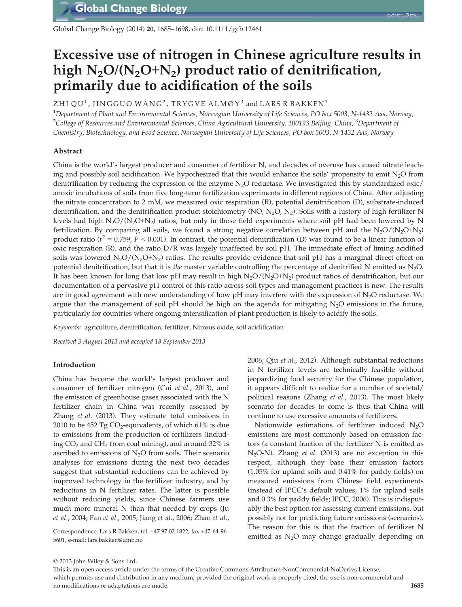Global Change Biology (2014) 20, 1685–1698, doi: 10.1111/gcb.12461

# Excessive use of nitrogen in Chinese agriculture results in high  $N_2O/(N_2O+N_2)$  product ratio of denitrification, primarily due to acidification of the soils

## ZHI QU<sup>1</sup>, JINGGUO WANG<sup>2</sup>, TRYGVE ALMØY<sup>3</sup> and LARS R BAKKEN<sup>1</sup>

1 Department of Plant and Environmental Sciences, Norwegian University of Life Sciences, PO box 5003, N-1432 Aas, Norway, <sup>2</sup>College of Resources and Environmental Sciences, China Agricultural University, 100193 Beijing, China, <sup>3</sup>Department of Chemistry, Biotechnology, and Food Science, Norwegian University of Life Sciences, PO box 5003, N-1432 Aas, Norway

## Abstract

China is the world's largest producer and consumer of fertilizer N, and decades of overuse has caused nitrate leaching and possibly soil acidification. We hypothesized that this would enhance the soils' propensity to emit  $N_2O$  from denitrification by reducing the expression of the enzyme  $N<sub>2</sub>O$  reductase. We investigated this by standardized oxic/ anoxic incubations of soils from five long-term fertilization experiments in different regions of China. After adjusting the nitrate concentration to 2 mM, we measured oxic respiration (R), potential denitrification (D), substrate-induced denitrification, and the denitrification product stoichiometry (NO, N<sub>2</sub>O, N<sub>2</sub>). Soils with a history of high fertilizer N levels had high  $N_2O/(N_2O+N_2)$  ratios, but only in those field experiments where soil pH had been lowered by N fertilization. By comparing all soils, we found a strong negative correlation between pH and the  $N_2O/(N_2O+N_2)$ product ratio ( $r^2 = 0.759$ ,  $P < 0.001$ ). In contrast, the potential denitrification (D) was found to be a linear function of oxic respiration (R), and the ratio D/R was largely unaffected by soil pH. The immediate effect of liming acidified soils was lowered  $N_2O/(N_2O+N_2)$  ratios. The results provide evidence that soil pH has a marginal direct effect on potential denitrification, but that it is the master variable controlling the percentage of denitrified N emitted as  $N_2O$ . It has been known for long that low pH may result in high  $N_2O/(N_2O+N_2)$  product ratios of denitrification, but our documentation of a pervasive pH-control of this ratio across soil types and management practices is new. The results are in good agreement with new understanding of how pH may interfere with the expression of  $N_2O$  reductase. We argue that the management of soil pH should be high on the agenda for mitigating  $N_2O$  emissions in the future, particularly for countries where ongoing intensification of plant production is likely to acidify the soils.

Keywords: agriculture, denitrification, fertilizer, Nitrous oxide, soil acidification

Received 3 August 2013 and accepted 18 September 2013

#### Introduction

China has become the world's largest producer and consumer of fertilizer nitrogen (Cui et al., 2013), and the emission of greenhouse gases associated with the N fertilizer chain in China was recently assessed by Zhang et al. (2013). They estimate total emissions in 2010 to be 452 Tg  $CO_2$ -equivalents, of which 61% is due to emissions from the production of fertilizers (including  $CO<sub>2</sub>$  and  $CH<sub>4</sub>$  from coal mining), and around 32% is ascribed to emissions of  $N_2O$  from soils. Their scenario analyses for emissions during the next two decades suggest that substantial reductions can be achieved by improved technology in the fertilizer industry, and by reductions in N fertilizer rates. The latter is possible without reducing yields, since Chinese farmers use much more mineral N than that needed by crops (Ju et al., 2004; Fan et al., 2005; Jiang et al., 2006; Zhao et al.,

5601, e-mail: lars.bakken@umb.no

2006; Qiu et al., 2012). Although substantial reductions in N fertilizer levels are technically feasible without jeopardizing food security for the Chinese population, it appears difficult to realize for a number of societal/ political reasons (Zhang et al., 2013). The most likely scenario for decades to come is thus that China will continue to use excessive amounts of fertilizers.

Nationwide estimations of fertilizer induced  $N_2O$ emissions are most commonly based on emission factors (a constant fraction of the fertilizer N is emitted as  $N_2O-N$ ). Zhang *et al.* (2013) are no exception in this respect, although they base their emission factors (1.05% for upland soils and 0.41% for paddy fields) on measured emissions from Chinese field experiments (instead of IPCC's default values, 1% for upland soils and 0.3% for paddy fields; IPCC, 2006). This is indisputably the best option for assessing current emissions, but possibly not for predicting future emissions (scenarios). The reason for this is that the fraction of fertilizer N emitted as N<sub>2</sub>O may change gradually depending on Correspondence: Lars R Bakken, tel. +47 97 02 1822, fax +47 64 96<br>
emitted as N<sub>2</sub>O may change gradually depending on

<sup>©</sup> 2013 John Wiley & Sons Ltd.

This is an open access article under the terms of the Creative Commons Attribution-NonCommercial-NoDerivs License, which permits use and distribution in any medium, provided the original work is properly cited, the use is non-commercial and no modifications or adaptations are made. 1685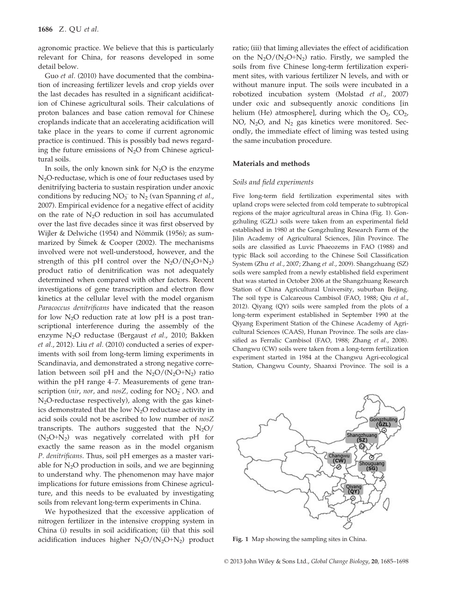agronomic practice. We believe that this is particularly relevant for China, for reasons developed in some detail below.

Guo et al. (2010) have documented that the combination of increasing fertilizer levels and crop yields over the last decades has resulted in a significant acidification of Chinese agricultural soils. Their calculations of proton balances and base cation removal for Chinese croplands indicate that an accelerating acidification will take place in the years to come if current agronomic practice is continued. This is possibly bad news regarding the future emissions of  $N<sub>2</sub>O$  from Chinese agricultural soils.

In soils, the only known sink for  $N_2O$  is the enzyme  $N_2$ O-reductase, which is one of four reductases used by denitrifying bacteria to sustain respiration under anoxic conditions by reducing  $NO_3^-$  to  $N_2$  (van Spanning *et al.*, 2007). Empirical evidence for a negative effect of acidity on the rate of  $N_2O$  reduction in soil has accumulated over the last five decades since it was first observed by Wijler & Delwiche (1954) and Nömmik (1956); as summarized by Šimek & Cooper (2002). The mechanisms involved were not well-understood, however, and the strength of this pH control over the  $N_2O/(N_2O+N_2)$ product ratio of denitrification was not adequately determined when compared with other factors. Recent investigations of gene transcription and electron flow kinetics at the cellular level with the model organism Paracoccus denitrificans have indicated that the reason for low  $N_2O$  reduction rate at low pH is a post transcriptional interference during the assembly of the enzyme N<sub>2</sub>O reductase (Bergaust et al., 2010; Bakken et al., 2012). Liu et al. (2010) conducted a series of experiments with soil from long-term liming experiments in Scandinavia, and demonstrated a strong negative correlation between soil pH and the  $N_2O/(N_2O+N_2)$  ratio within the pH range 4–7. Measurements of gene transcription (nir, nor, and nosZ, coding for  $NO_2^-$ , NO. and N2O-reductase respectively), along with the gas kinetics demonstrated that the low  $N_2O$  reductase activity in acid soils could not be ascribed to low number of nosZ transcripts. The authors suggested that the  $N_2O/$  $(N_2O+N_2)$  was negatively correlated with pH for exactly the same reason as in the model organism P. denitrificans. Thus, soil pH emerges as a master variable for  $N_2O$  production in soils, and we are beginning to understand why. The phenomenon may have major implications for future emissions from Chinese agriculture, and this needs to be evaluated by investigating soils from relevant long-term experiments in China.

We hypothesized that the excessive application of nitrogen fertilizer in the intensive cropping system in China (i) results in soil acidification; (ii) that this soil acidification induces higher  $N_2O/(N_2O+N_2)$  product ratio; (iii) that liming alleviates the effect of acidification on the  $N_2O/(N_2O+N_2)$  ratio. Firstly, we sampled the soils from five Chinese long-term fertilization experiment sites, with various fertilizer N levels, and with or without manure input. The soils were incubated in a robotized incubation system (Molstad et al., 2007) under oxic and subsequently anoxic conditions [in helium (He) atmosphere], during which the  $O_2$ ,  $CO_2$ , NO,  $N_2O$ , and  $N_2$  gas kinetics were monitored. Secondly, the immediate effect of liming was tested using the same incubation procedure.

## Materials and methods

#### Soils and field experiments

Five long-term field fertilization experimental sites with upland crops were selected from cold temperate to subtropical regions of the major agricultural areas in China (Fig. 1). Gongzhuling (GZL) soils were taken from an experimental field established in 1980 at the Gongzhuling Research Farm of the Jilin Academy of Agricultural Sciences, Jilin Province. The soils are classified as Luvic Phaeozems in FAO (1988) and typic Black soil according to the Chinese Soil Classification System (Zhu et al., 2007; Zhang et al., 2009). Shangzhuang (SZ) soils were sampled from a newly established field experiment that was started in October 2006 at the Shangzhuang Research Station of China Agricultural University, suburban Beijing. The soil type is Calcareous Cambisol (FAO, 1988; Qiu et al., 2012). Qiyang (QY) soils were sampled from the plots of a long-term experiment established in September 1990 at the Qiyang Experiment Station of the Chinese Academy of Agricultural Sciences (CAAS), Hunan Province. The soils are classified as Ferralic Cambisol (FAO, 1988; Zhang et al., 2008). Changwu (CW) soils were taken from a long-term fertilization experiment started in 1984 at the Changwu Agri-ecological Station, Changwu County, Shaanxi Province. The soil is a



Fig. 1 Map showing the sampling sites in China.

© 2013 John Wiley & Sons Ltd., Global Change Biology, 20, 1685–1698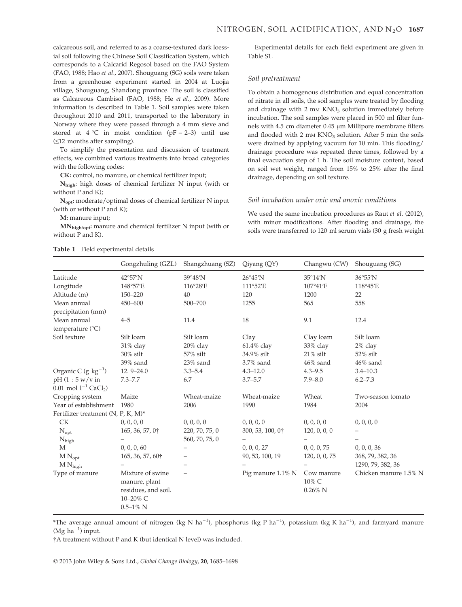calcareous soil, and referred to as a coarse-textured dark loessial soil following the Chinese Soil Classification System, which corresponds to a Calcarid Regosol based on the FAO System (FAO, 1988; Hao et al., 2007). Shouguang (SG) soils were taken from a greenhouse experiment started in 2004 at Luojia village, Shouguang, Shandong province. The soil is classified as Calcareous Cambisol (FAO, 1988; He et al., 2009). More information is described in Table 1. Soil samples were taken throughout 2010 and 2011, transported to the laboratory in Norway where they were passed through a 4 mm sieve and stored at  $4 °C$  in moist condition ( $pF = 2-3$ ) until use (≤12 months after sampling).

To simplify the presentation and discussion of treatment effects, we combined various treatments into broad categories with the following codes:

CK: control, no manure, or chemical fertilizer input;

Nhigh: high doses of chemical fertilizer N input (with or without P and K);

Nopt: moderate/optimal doses of chemical fertilizer N input (with or without P and K);

M: manure input;

MNhigh/opt: manure and chemical fertilizer N input (with or without P and K).

Experimental details for each field experiment are given in Table S1.

#### Soil pretreatment

To obtain a homogenous distribution and equal concentration of nitrate in all soils, the soil samples were treated by flooding and drainage with  $2 \text{ mm KNO}_3$  solution immediately before incubation. The soil samples were placed in 500 ml filter funnels with  $4.5$  cm diameter  $0.45$  µm Millipore membrane filters and flooded with 2 mm  $KNO<sub>3</sub>$  solution. After 5 min the soils were drained by applying vacuum for 10 min. This flooding/ drainage procedure was repeated three times, followed by a final evacuation step of 1 h. The soil moisture content, based on soil wet weight, ranged from 15% to 25% after the final drainage, depending on soil texture.

#### Soil incubation under oxic and anoxic conditions

We used the same incubation procedures as Raut et al. (2012), with minor modifications. After flooding and drainage, the soils were transferred to 120 ml serum vials (30 g fresh weight

|                                       | Gongzhuling (GZL)                                                                     | Shangzhuang (SZ)  | Qiyang (QY)       | Changwu (CW)                      | Shouguang (SG)        |  |
|---------------------------------------|---------------------------------------------------------------------------------------|-------------------|-------------------|-----------------------------------|-----------------------|--|
| Latitude                              | 42°57'N                                                                               | 39°48'N           | $26^{\circ}45'$ N | $35^{\circ}14'$ N                 | 36°55'N               |  |
| Longitude                             | 148°57'E                                                                              | 116°28'E          | 111°52'E          | 107°41'E                          | 118°45'E              |  |
| Altitude (m)                          | 150-220                                                                               | 40                | 120               | 1200                              | 22                    |  |
| Mean annual                           | 450-600                                                                               | 500-700           | 1255              | 565                               | 558                   |  |
| precipitation (mm)                    |                                                                                       |                   |                   |                                   |                       |  |
| Mean annual                           | $4 - 5$                                                                               | 11.4              | 18                | 9.1                               | 12.4                  |  |
| temperature (°C)                      |                                                                                       |                   |                   |                                   |                       |  |
| Soil texture                          | Silt loam                                                                             | Silt loam         | Clay              | Clay loam                         | Silt loam             |  |
|                                       | 31% clay                                                                              | 20% clay          | 61.4% clay        | 33% clay                          | 2% clay               |  |
|                                       | $30\%$ silt                                                                           | 57% silt          | 34.9% silt        | $21\%$ silt                       | 52% silt              |  |
|                                       | $39\%$ sand                                                                           | $23\%$ sand       | $3.7\%$ sand      | $46\%$ sand                       | $46\%$ sand           |  |
| Organic C (g $kg^{-1}$ )              | $12.9 - 24.0$                                                                         | $3.3 - 5.4$       | $4.3 - 12.0$      | $4.3 - 9.5$                       | $3.4 - 10.3$          |  |
| $pH(1:5 w/v)$ in                      | $7.3 - 7.7$                                                                           | 6.7               | $3.7 - 5.7$       | $7.9 - 8.0$                       | $6.2 - 7.3$           |  |
| 0.01 mol $1^{-1}$ CaCl <sub>2</sub> ) |                                                                                       |                   |                   |                                   |                       |  |
| Cropping system                       | Maize                                                                                 | Wheat-maize       | Wheat-maize       | Wheat                             | Two-season tomato     |  |
| Year of establishment                 | 1980                                                                                  | 2006              | 1990              | 1984                              | 2004                  |  |
| Fertilizer treatment $(N, P, K, M)^*$ |                                                                                       |                   |                   |                                   |                       |  |
| <b>CK</b>                             | 0, 0, 0, 0                                                                            | 0, 0, 0, 0        | 0, 0, 0, 0        | 0, 0, 0, 0                        | 0, 0, 0, 0            |  |
| $N_{opt}$                             | 165, 36, 57, 0†                                                                       | 220, 70, 75, 0    | 300, 53, 100, 0†  | 120, 0, 0, 0                      | -                     |  |
| $N_{\text{high}}$                     | -                                                                                     | 560, 70, 75, 0    |                   |                                   |                       |  |
| M                                     | 0, 0, 0, 60                                                                           | $\qquad \qquad -$ | 0, 0, 0, 27       | 0, 0, 0, 75                       | 0, 0, 0, 36           |  |
| $M N_{opt}$                           | 165, 36, 57, 60†                                                                      |                   | 90, 53, 100, 19   | 120, 0, 0, 75                     | 368, 79, 382, 36      |  |
| $M N_{high}$                          |                                                                                       |                   |                   |                                   | 1290, 79, 382, 36     |  |
| Type of manure                        | Mixture of swine<br>manure, plant<br>residues, and soil.<br>10-20% C<br>$0.5 - 1\%$ N |                   | Pig manure 1.1% N | Cow manure<br>10% C<br>$0.26\%$ N | Chicken manure 1.5% N |  |

Table 1 Field experimental details

\*The average annual amount of nitrogen (kg N ha<sup>-1</sup>), phosphorus (kg P ha<sup>-1</sup>), potassium (kg K ha<sup>-1</sup>), and farmyard manure (Mg  $ha^{-1}$ ) input.

†A treatment without P and K (but identical N level) was included.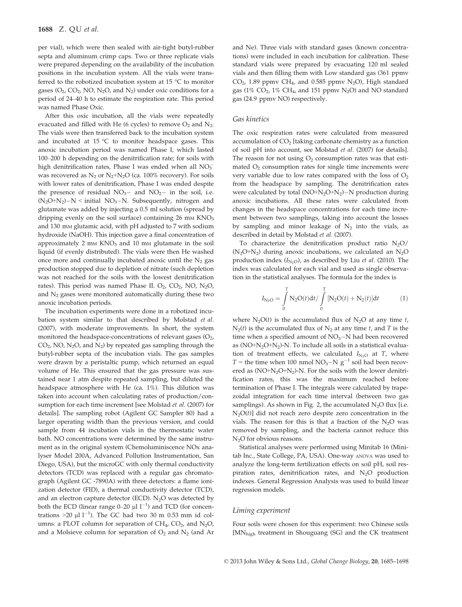per vial), which were then sealed with air-tight butyl-rubber septa and aluminum crimp caps. Two or three replicate vials were prepared depending on the availability of the incubation positions in the incubation system. All the vials were transferred to the robotized incubation system at 15 °C to monitor gases  $(O_2, CO_2, NO, N_2O, and N_2)$  under oxic conditions for a period of 24–40 h to estimate the respiration rate. This period was named Phase Oxic.

After this oxic incubation, all the vials were repeatedly evacuated and filled with He (6 cycles) to remove  $O_2$  and  $N_2$ . The vials were then transferred back to the incubation system and incubated at  $15 \,^{\circ}\text{C}$  to monitor headspace gases. This anoxic incubation period was named Phase I, which lasted 100–200 h depending on the denitrification rate; for soils with high denitrification rates, Phase I was ended when all  $\mathrm{NO_3^-}$ was recovered as  $N_2$  or  $N_2+N_2O$  (ca. 100% recovery). For soils with lower rates of denitrification, Phase I was ended despite the presence of residual  $NO_3$ - and  $NO_2$ - in the soil, i.e.  $(N_2O+N_2)-N <$  initial  $NO_3-N$ . Subsequently, nitrogen and glutamate was added by injecting a 0.5 ml solution (spread by dripping evenly on the soil surface) containing  $26 \text{ mm KNO}_3$ and 130 mM glutamic acid, with pH adjusted to 7 with sodium hydroxide (NaOH). This injection gave a final concentration of approximately 2 mm  $KNO<sub>3</sub>$  and 10 mm glutamate in the soil liquid (if evenly distributed). The vials were then He washed once more and continually incubated anoxic until the  $N_2$  gas production stopped due to depletion of nitrate (such depletion was not reached for the soils with the lowest denitrification rates). This period was named Phase II.  $O_2$ ,  $CO_2$ , NO,  $N_2O$ , and  $N_2$  gases were monitored automatically during these two anoxic incubation periods.

The incubation experiments were done in a robotized incubation system similar to that described by Molstad et al. (2007), with moderate improvements. In short, the system monitored the headspace-concentrations of relevant gases  $(O_2,$  $CO<sub>2</sub>$ , NO, N<sub>2</sub>O, and N<sub>2</sub>) by repeated gas sampling through the butyl-rubber septa of the incubation vials. The gas samples were drawn by a peristaltic pump, which returned an equal volume of He. This ensured that the gas pressure was sustained near 1 atm despite repeated sampling, but diluted the headspace atmosphere with He (ca. 1%). This dilution was taken into account when calculating rates of production/consumption for each time increment [see Molstad et al. (2007) for details]. The sampling robot (Agilent GC Sampler 80) had a larger operating width than the previous version, and could sample from 44 incubation vials in the thermostatic water bath. NO concentrations were determined by the same instrument as in the original system (Chemoluminiscence NOx analyser Model 200A, Advanced Pollution Instrumentation, San Diego, USA), but the microGC with only thermal conductivity detectors (TCD) was replaced with a regular gas chromatograph (Agilent GC -7890A) with three detectors: a flame ionization detector (FID), a thermal conductivity detector (TCD), and an electron capture detector (ECD).  $N_2O$  was detected by both the ECD (linear range  $0-20 \mu l l^{-1}$ ) and TCD (for concentrations  $>$ 20  $\mu$ l l<sup>-1</sup>). The GC had two 30 m 0.53 mm id columns: a PLOT column for separation of  $CH_4$ ,  $CO_2$ , and  $N_2O$ , and a Molsieve column for separation of  $O_2$  and  $N_2$  (and Ar and Ne). Three vials with standard gases (known concentrations) were included in each incubation for calibration. These standard vials were prepared by evacuating 120 ml sealed vials and then filling them with Low standard gas (361 ppmv  $CO<sub>2</sub>$ , 1.89 ppmv CH<sub>4</sub>, and 0.585 ppmv N<sub>2</sub>O), High standard gas (1%  $CO<sub>2</sub>$ , 1%  $CH<sub>4</sub>$ , and 151 ppmv N<sub>2</sub>O) and NO standard gas (24.9 ppmv NO) respectively.

#### Gas kinetics

The oxic respiration rates were calculated from measured accumulation of  $CO<sub>2</sub>$  [taking carbonate chemistry as a function of soil pH into account, see Molstad et al. (2007) for details]. The reason for not using  $O<sub>2</sub>$  consumption rates was that estimated  $O<sub>2</sub>$  consumption rates for single time increments were very variable due to low rates compared with the loss of  $O<sub>2</sub>$ from the headspace by sampling. The denitrification rates were calculated by total  $(NO+N<sub>2</sub>O+N<sub>2</sub>)-N$  production during anoxic incubations. All these rates were calculated from changes in the headspace concentrations for each time increment between two samplings, taking into account the losses by sampling and minor leakage of  $N<sub>2</sub>$  into the vials, as described in detail by Molstad et al. (2007).

To characterize the denitrification product ratio  $N_2O/$  $(N_2O+N_2)$  during anoxic incubations, we calculated an  $N_2O$ production index  $(I_{N_2O})$ , as described by Liu *et al.* (2010). The index was calculated for each vial and used as single observation in the statistical analyses. The formula for the index is

$$
I_{N_2O} = \int_{0}^{T} N_2 O(t) dt / \int_{0}^{T} [N_2 O(t) + N_2(t)] dt
$$
 (1)

where  $N_2O(t)$  is the accumulated flux of  $N_2O$  at any time t,  $N_2(t)$  is the accumulated flux of  $N_2$  at any time t, and T is the time when a specified amount of  $NO<sub>3</sub>-N$  had been recovered as (NO+N2O+N2)-N. To include all soils in a statistical evaluation of treatment effects, we calculated  $I_{\text{N}_2O}$  at T, where  $T =$  the time when 100 nmol NO<sub>3</sub>–N  $g^{-1}$  soil had been recovered as  $(NO+N<sub>2</sub>O+N<sub>2</sub>)-N$ . For the soils with the lower denitrification rates, this was the maximum reached before termination of Phase I. The integrals were calculated by trapezoidal integration for each time interval (between two gas samplings). As shown in Fig. 2, the accumulated  $N_2O$  flux [i.e.  $N_2O(t)$ ] did not reach zero despite zero concentration in the vials. The reason for this is that a fraction of the  $N_2O$  was removed by sampling, and the bacteria cannot reduce this N<sub>2</sub>O for obvious reasons.

Statistical analyses were performed using Minitab 16 (Minitab Inc., State College, PA, USA). One-way ANOVA was used to analyze the long-term fertilization effects on soil pH, soil respiration rates, denitrification rates, and  $N_2O$  production indexes. General Regression Analysis was used to build linear regression models.

#### Liming experiment

Four soils were chosen for this experiment: two Chinese soils [MNhigh treatment in Shouguang (SG) and the CK treatment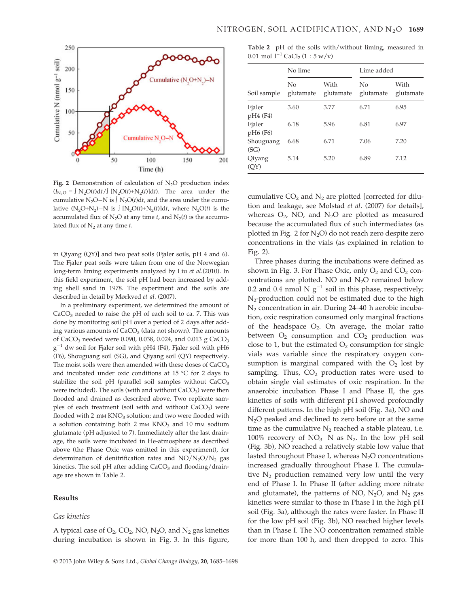

Fig. 2 Demonstration of calculation of  $N_2O$  production index  $(I_{N_2O} = \int N_2O(t)dt / \int [N_2O(t)+N_2(t)]dt$ . The area under the cumulative N<sub>2</sub>O–N is  $\int N_2O(t)dt$ , and the area under the cumulative  $(N_2O+N_2)-N$  is  $\int [N_2O(t)+N_2(t)]dt$ , where  $N_2O(t)$  is the accumulated flux of  $N_2O$  at any time t, and  $N_2(t)$  is the accumulated flux of  $N_2$  at any time t.

in Qiyang (QY)] and two peat soils (Fjaler soils, pH 4 and 6). The Fjaler peat soils were taken from one of the Norwegian long-term liming experiments analyzed by Liu et al.(2010). In this field experiment, the soil pH had been increased by adding shell sand in 1978. The experiment and the soils are described in detail by Mørkved et al. (2007).

In a preliminary experiment, we determined the amount of  $CaCO<sub>3</sub>$  needed to raise the pH of each soil to ca. 7. This was done by monitoring soil pH over a period of 2 days after adding various amounts of CaCO<sub>3</sub> (data not shown). The amounts of CaCO<sub>3</sub> needed were 0.090, 0.038, 0.024, and 0.013 g CaCO<sub>3</sub>  $g^{-1}$  dw soil for Fjaler soil with pH4 (F4), Fjaler soil with pH6 (F6), Shouguang soil (SG), and Qiyang soil (QY) respectively. The moist soils were then amended with these doses of  $CaCO<sub>3</sub>$ and incubated under oxic conditions at 15 °C for 2 days to stabilize the soil pH (parallel soil samples without  $CaCO<sub>3</sub>$ were included). The soils (with and without  $CaCO<sub>3</sub>$ ) were then flooded and drained as described above. Two replicate samples of each treatment (soil with and without CaCO<sub>3</sub>) were flooded with 2 mm KNO<sub>3</sub> solution; and two were flooded with a solution containing both 2 mm  $KNO<sub>3</sub>$  and 10 mm sodium glutamate (pH adjusted to 7). Immediately after the last drainage, the soils were incubated in He-atmosphere as described above (the Phase Oxic was omitted in this experiment), for determination of denitrification rates and  $NO/N<sub>2</sub>O/N<sub>2</sub>$  gas kinetics. The soil pH after adding  $CaCO<sub>3</sub>$  and flooding/drainage are shown in Table 2.

## Results

#### Gas kinetics

A typical case of  $O_2$ ,  $CO_2$ , NO, N<sub>2</sub>O, and N<sub>2</sub> gas kinetics during incubation is shown in Fig. 3. In this figure,

Table 2 pH of the soils with/without liming, measured in 0.01 mol  $l^{-1}$  CaCl<sub>2</sub> (1 : 5 w/v)

|                                             | No lime         |                   | Lime added      |                   |  |
|---------------------------------------------|-----------------|-------------------|-----------------|-------------------|--|
| Soil sample                                 | Nο<br>glutamate | With<br>glutamate | No<br>glutamate | With<br>glutamate |  |
| Fjaler<br>pH4 (F4)                          | 3.60            | 3.77              | 6.71            | 6.95              |  |
| Fjaler<br>pH <sub>6</sub> (F <sub>6</sub> ) | 6.18            | 5.96              | 6.81            | 6.97              |  |
| Shouguang<br>(SG)                           | 6.68            | 6.71              | 7.06            | 7.20              |  |
| Qiyang<br>(OY)                              | 5.14            | 5.20              | 6.89            | 7.12              |  |

cumulative  $CO<sub>2</sub>$  and  $N<sub>2</sub>$  are plotted [corrected for dilution and leakage, see Molstad et al. (2007) for details], whereas  $O_2$ , NO, and N<sub>2</sub>O are plotted as measured because the accumulated flux of such intermediates (as plotted in Fig. 2 for  $N_2O$ ) do not reach zero despite zero concentrations in the vials (as explained in relation to Fig. 2).

Three phases during the incubations were defined as shown in Fig. 3. For Phase Oxic, only  $O_2$  and  $CO_2$  concentrations are plotted. NO and  $N_2O$  remained below 0.2 and 0.4 nmol N  $g^{-1}$  soil in this phase, respectively;  $N_2$ -production could not be estimated due to the high  $N_2$  concentration in air. During 24–40 h aerobic incubation, oxic respiration consumed only marginal fractions of the headspace  $O_2$ . On average, the molar ratio between  $O_2$  consumption and  $CO_2$  production was close to 1, but the estimated  $O_2$  consumption for single vials was variable since the respiratory oxygen consumption is marginal compared with the  $O<sub>2</sub>$  lost by sampling. Thus,  $CO<sub>2</sub>$  production rates were used to obtain single vial estimates of oxic respiration. In the anaerobic incubation Phase I and Phase II, the gas kinetics of soils with different pH showed profoundly different patterns. In the high pH soil (Fig. 3a), NO and  $N_2O$  peaked and declined to zero before or at the same time as the cumulative  $N_2$  reached a stable plateau, i.e. 100% recovery of  $NO<sub>3</sub>-N$  as  $N<sub>2</sub>$ . In the low pH soil (Fig. 3b), NO reached a relatively stable low value that lasted throughout Phase I, whereas  $N_2O$  concentrations increased gradually throughout Phase I. The cumulative  $N_2$  production remained very low until the very end of Phase I. In Phase II (after adding more nitrate and glutamate), the patterns of NO,  $N_2O$ , and  $N_2$  gas kinetics were similar to those in Phase I in the high pH soil (Fig. 3a), although the rates were faster. In Phase II for the low pH soil (Fig. 3b), NO reached higher levels than in Phase I. The NO concentration remained stable for more than 100 h, and then dropped to zero. This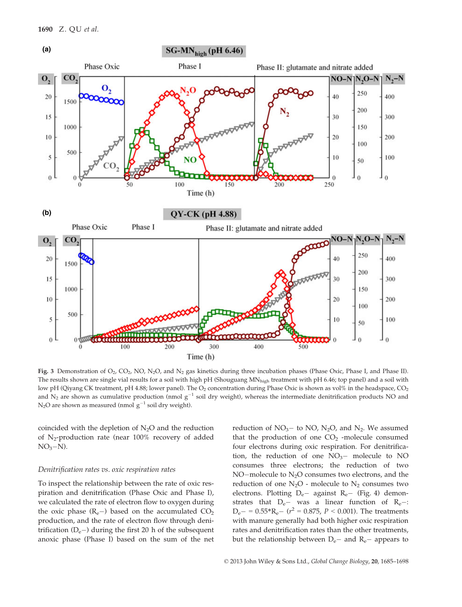

Fig. 3 Demonstration of  $O_2$ ,  $CO_2$ , NO, N<sub>2</sub>O, and N<sub>2</sub> gas kinetics during three incubation phases (Phase Oxic, Phase I, and Phase II). The results shown are single vial results for a soil with high pH (Shouguang MN<sub>high</sub> treatment with pH 6.46; top panel) and a soil with low pH (Qiyang CK treatment, pH 4.88; lower panel). The  $O_2$  concentration during Phase Oxic is shown as vol% in the headspace,  $CO_2$ and  $N_2$  are shown as cumulative production (nmol  $g^{-1}$  soil dry weight), whereas the intermediate denitrification products NO and  $N_2O$  are shown as measured (nmol  $g^{-1}$  soil dry weight).

coincided with the depletion of  $N_2O$  and the reduction of  $N_2$ -production rate (near 100% recovery of added  $NO<sub>3</sub>-N$ ).

#### Denitrification rates vs. oxic respiration rates

To inspect the relationship between the rate of oxic respiration and denitrification (Phase Oxic and Phase I), we calculated the rate of electron flow to oxygen during the oxic phase  $(R_e-)$  based on the accumulated  $CO<sub>2</sub>$ production, and the rate of electron flow through denitrification  $(D_e-)$  during the first 20 h of the subsequent anoxic phase (Phase I) based on the sum of the net reduction of  $NO<sub>3</sub>$  to NO, N<sub>2</sub>O, and N<sub>2</sub>. We assumed that the production of one  $CO<sub>2</sub>$  -molecule consumed four electrons during oxic respiration. For denitrification, the reduction of one  $NO<sub>3</sub>$  molecule to NO consumes three electrons; the reduction of two NO-molecule to  $N_2O$  consumes two electrons, and the reduction of one  $N_2O$  - molecule to  $N_2$  consumes two electrons. Plotting  $D_e$  against  $R_e$  (Fig. 4) demonstrates that  $D_e$ - was a linear function of  $R_e$ -:  $D_e - = 0.55 \cdot R_e - (r^2 = 0.875, P < 0.001)$ . The treatments with manure generally had both higher oxic respiration rates and denitrification rates than the other treatments, but the relationship between  $D_e$ – and  $R_e$ – appears to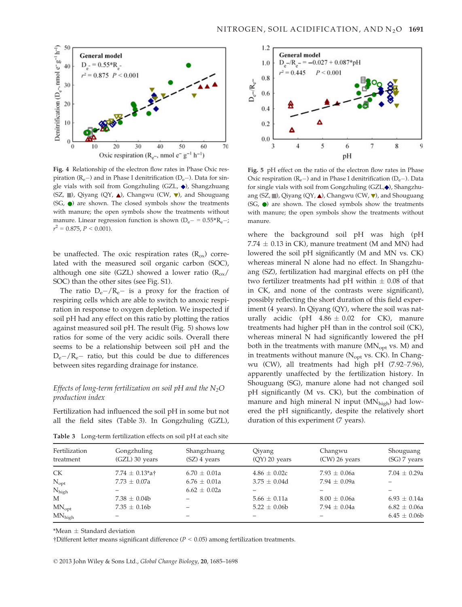

Fig. 4 Relationship of the electron flow rates in Phase Oxic respiration  $(R_e-)$  and in Phase I denitrification  $(D_e-)$ . Data for single vials with soil from Gongzhuling (GZL,  $\blacklozenge$ ), Shangzhuang  $(SZ, \blacksquare)$ , Qiyang  $(QY, \blacktriangle)$ , Changwu (CW,  $\nabla$ ), and Shouguang  $(SG, \bullet)$  are shown. The closed symbols show the treatments with manure; the open symbols show the treatments without manure. Linear regression function is shown  $(D_e - 0.55 \cdot R_e -;$  $r^2 = 0.875, P < 0.001$ ).

be unaffected. The oxic respiration rates  $(R_{ox})$  correlated with the measured soil organic carbon (SOC), although one site (GZL) showed a lower ratio  $(R_{ox}/R_{ox})$ SOC) than the other sites (see Fig. S1).

The ratio  $D_e - / R_e -$  is a proxy for the fraction of respiring cells which are able to switch to anoxic respiration in response to oxygen depletion. We inspected if soil pH had any effect on this ratio by plotting the ratios against measured soil pH. The result (Fig. 5) shows low ratios for some of the very acidic soils. Overall there seems to be a relationship between soil pH and the  $D_{e}$ -/R<sub>e</sub>- ratio, but this could be due to differences between sites regarding drainage for instance.

## Effects of long-term fertilization on soil pH and the  $N_2O$ production index

Fertilization had influenced the soil pH in some but not all the field sites (Table 3). In Gongzhuling (GZL),



Fig. 5 pH effect on the ratio of the electron flow rates in Phase Oxic respiration  $(R_e-)$  and in Phase I denitrification  $(D_e-)$ . Data for single vials with soil from Gongzhuling (GZL, $\blacklozenge$ ), Shangzhuang (SZ,  $\blacksquare$ ), Qiyang (QY,  $\blacktriangle$ ), Changwu (CW,  $\nabla$ ), and Shouguang  $(SG, \bullet)$  are shown. The closed symbols show the treatments with manure; the open symbols show the treatments without manure.

where the background soil pH was high (pH 7.74  $\pm$  0.13 in CK), manure treatment (M and MN) had lowered the soil pH significantly (M and MN vs. CK) whereas mineral N alone had no effect. In Shangzhuang (SZ), fertilization had marginal effects on pH (the two fertilizer treatments had pH within  $\pm$  0.08 of that in CK, and none of the contrasts were significant), possibly reflecting the short duration of this field experiment (4 years). In Qiyang (QY), where the soil was naturally acidic (pH  $4.86 \pm 0.02$  for CK), manure treatments had higher pH than in the control soil (CK), whereas mineral N had significantly lowered the pH both in the treatments with manure  $(MN_{opt}$  vs. M) and in treatments without manure ( $N_{opt}$  vs. CK). In Changwu (CW), all treatments had high pH (7.92–7.96), apparently unaffected by the fertilization history. In Shouguang (SG), manure alone had not changed soil pH significantly (M vs. CK), but the combination of manure and high mineral N input  $(MN_{\text{high}})$  had lowered the pH significantly, despite the relatively short duration of this experiment (7 years).

| Fertilization<br>treatment | Gongzhuling<br>$(GZL)$ 30 years | Shangzhuang<br>$(SZ)$ 4 years | Qiyang<br>$(QY)$ 20 years | Changwu<br>$(CW)$ 26 years | Shouguang<br>(SG) 7 years |
|----------------------------|---------------------------------|-------------------------------|---------------------------|----------------------------|---------------------------|
| <b>CK</b>                  | 7.74 $\pm$ 0.13*a†              | $6.70 \pm 0.01a$              | $4.86 \pm 0.02c$          | $7.93 \pm 0.06a$           | $7.04 \pm 0.29a$          |
| $N_{opt}$                  | $7.73 \pm 0.07a$                | $6.76 \pm 0.01a$              | $3.75 \pm 0.04d$          | 7.94 $\pm$ 0.09a           |                           |
| $N_{\text{high}}$          |                                 | $6.62 \pm 0.02a$              |                           |                            |                           |
| M                          | $7.38 \pm 0.04b$                |                               | $5.66 \pm 0.11a$          | $8.00 \pm 0.06a$           | $6.93 \pm 0.14a$          |
| $MN_{opt}$                 | $7.35 \pm 0.16b$                |                               | $5.22 \pm 0.06b$          | 7.94 $\pm$ 0.04a           | $6.82 \pm 0.06a$          |
| $MN_{high}$                |                                 |                               |                           |                            | $6.45 \pm 0.06b$          |

Table 3 Long-term fertilization effects on soil pH at each site

 $*$ Mean  $\pm$  Standard deviation

 $\dagger$ Different letter means significant difference ( $P < 0.05$ ) among fertilization treatments.

© 2013 John Wiley & Sons Ltd., Global Change Biology, 20, 1685–1698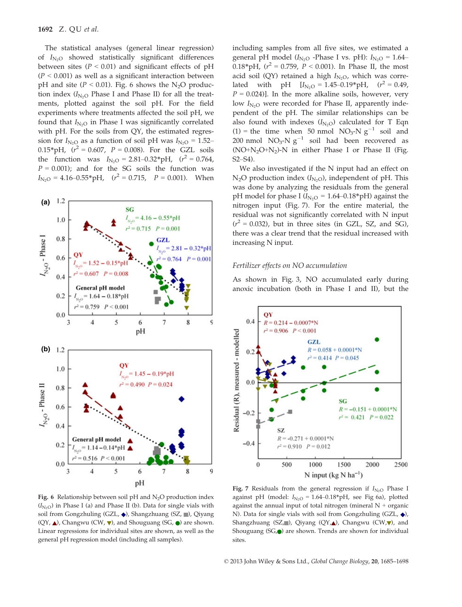The statistical analyses (general linear regression) of  $I_{N<sub>2</sub>O}$  showed statistically significant differences between sites ( $P < 0.01$ ) and significant effects of pH  $(P < 0.001)$  as well as a significant interaction between pH and site ( $P < 0.01$ ). Fig. 6 shows the N<sub>2</sub>O production index  $(I_{N_2O}$  Phase I and Phase II) for all the treatments, plotted against the soil pH. For the field experiments where treatments affected the soil pH, we found that  $I_{N<sub>2</sub>O}$  in Phase I was significantly correlated with pH. For the soils from QY, the estimated regression for  $I_{N_2O}$  as a function of soil pH was  $I_{N_2O} = 1.52-$ 0.15\*pH,  $(r^2 = 0.607, P = 0.008)$ . For the GZL soils the function was  $I_{\text{N}_2\text{O}} = 2.81 - 0.32 \cdot pH$ ,  $(r^2 = 0.764)$ ,  $P = 0.001$ ); and for the SG soils the function was  $I_{\text{N}_2\text{O}} = 4.16 \text{--} 0.55 \text{°pH}, \quad (r^2 = 0.715, \quad P = 0.001).$  When



Fig. 6 Relationship between soil pH and  $N_2O$  production index  $(I<sub>N<sub>2</sub>O</sub>)$  in Phase I (a) and Phase II (b). Data for single vials with soil from Gongzhuling (GZL,  $\blacklozenge$ ), Shangzhuang (SZ,  $\blacksquare$ ), Qiyang  $(QY, \triangle)$ , Changwu (CW,  $\nabla$ ), and Shouguang (SG,  $\odot$ ) are shown. Linear regressions for individual sites are shown, as well as the general pH regression model (including all samples).

including samples from all five sites, we estimated a general pH model ( $I_{N<sub>2</sub>O}$  -Phase I vs. pH):  $I_{N<sub>2</sub>O}$  = 1.64– 0.18\*pH,  $(r^2 = 0.759, P < 0.001)$ . In Phase II, the most acid soil (QY) retained a high  $I_{\rm N_2O}$ , which was correlated with pH  $[I_{N_2O} = 1.45 - 0.19^* \text{pH}, \quad (r^2 = 0.49,$  $P = 0.024$ ]. In the more alkaline soils, however, very low  $I_{N,0}$  were recorded for Phase II, apparently independent of the pH. The similar relationships can be also found with indexes  $(I_{N<sub>2</sub>O})$  calculated for T Eqn (1) = the time when 50 nmol  $NO<sub>3</sub>~N g<sup>-1</sup>$  soil and 200 nmol  $NO<sub>3</sub>-N g<sup>-1</sup>$  soil had been recovered as  $(NO+N<sub>2</sub>O+N<sub>2</sub>)-N$  in either Phase I or Phase II (Fig. S2–S4).

We also investigated if the N input had an effect on  $N_2O$  production index  $(I_{N_2O})$ , independent of pH. This was done by analyzing the residuals from the general pH model for phase I ( $I_{\text{N}_2\text{O}} = 1.64{\text -}0.18*$  pH) against the nitrogen input (Fig. 7). For the entire material, the residual was not significantly correlated with N input  $(r^2 = 0.032)$ , but in three sites (in GZL, SZ, and SG), there was a clear trend that the residual increased with increasing N input.

### Fertilizer effects on NO accumulation

As shown in Fig. 3, NO accumulated early during anoxic incubation (both in Phase I and II), but the



Fig. 7 Residuals from the general regression if  $I_{N<sub>2</sub>}$  Phase I against pH (model:  $I_{\text{N}_2O} = 1.64 - 0.18 \text{ m}$ ), see Fig 6a), plotted against the annual input of total nitrogen (mineral  $N +$  organic N). Data for single vials with soil from Gongzhuling (GZL,  $\blacklozenge$ ), Shangzhuang (SZ, ), Qiyang (QY, $\triangle$ ), Changwu (CW, $\nabla$ ), and Shouguang  $(SG, \bullet)$  are shown. Trends are shown for individual sites.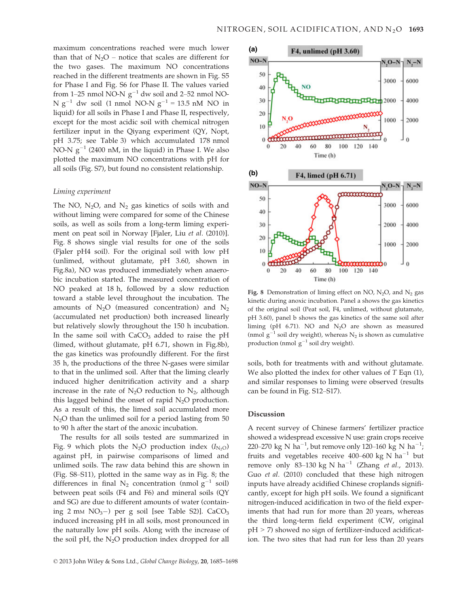maximum concentrations reached were much lower than that of  $N_2O$  – notice that scales are different for the two gases. The maximum NO concentrations reached in the different treatments are shown in Fig. S5 for Phase I and Fig. S6 for Phase II. The values varied from 1–25 nmol NO-N  $g^{-1}$  dw soil and 2–52 nmol NO-N  $g^{-1}$  dw soil (1 nmol NO-N  $g^{-1}$  = 13.5 nM NO in liquid) for all soils in Phase I and Phase II, respectively, except for the most acidic soil with chemical nitrogen fertilizer input in the Qiyang experiment (QY, Nopt, pH 3.75; see Table 3) which accumulated 178 nmol NO-N  $g^{-1}$  (2400 nM, in the liquid) in Phase I. We also plotted the maximum NO concentrations with pH for all soils (Fig. S7), but found no consistent relationship.

#### Liming experiment

The NO,  $N_2O$ , and  $N_2$  gas kinetics of soils with and without liming were compared for some of the Chinese soils, as well as soils from a long-term liming experiment on peat soil in Norway [Fjaler, Liu et al. (2010)]. Fig. 8 shows single vial results for one of the soils (Fjaler pH4 soil). For the original soil with low pH (unlimed, without glutamate, pH 3.60, shown in Fig.8a), NO was produced immediately when anaerobic incubation started. The measured concentration of NO peaked at 18 h, followed by a slow reduction toward a stable level throughout the incubation. The amounts of  $N_2O$  (measured concentration) and  $N_2$ (accumulated net production) both increased linearly but relatively slowly throughout the 150 h incubation. In the same soil with  $CaCO<sub>3</sub>$  added to raise the pH (limed, without glutamate, pH 6.71, shown in Fig.8b), the gas kinetics was profoundly different. For the first 35 h, the productions of the three N-gases were similar to that in the unlimed soil. After that the liming clearly induced higher denitrification activity and a sharp increase in the rate of  $N_2O$  reduction to  $N_2$ , although this lagged behind the onset of rapid  $N_2O$  production. As a result of this, the limed soil accumulated more  $N<sub>2</sub>O$  than the unlimed soil for a period lasting from 50 to 90 h after the start of the anoxic incubation.

The results for all soils tested are summarized in Fig. 9 which plots the N<sub>2</sub>O production index  $(I_{N<sub>2</sub>O})$ against pH, in pairwise comparisons of limed and unlimed soils. The raw data behind this are shown in (Fig. S8–S11), plotted in the same way as in Fig. 8; the differences in final  $N_2$  concentration (nmol  $g^{-1}$  soil) between peat soils (F4 and F6) and mineral soils (QY and SG) are due to different amounts of water (containing 2 mm  $NO<sub>3</sub>-$ ) per g soil [see Table S2)]. CaCO<sub>3</sub> induced increasing pH in all soils, most pronounced in the naturally low pH soils. Along with the increase of the soil pH, the  $N_2O$  production index dropped for all



Fig. 8 Demonstration of liming effect on NO,  $N_2O$ , and  $N_2$  gas kinetic during anoxic incubation. Panel a shows the gas kinetics of the original soil (Peat soil, F4, unlimed, without glutamate, pH 3.60), panel b shows the gas kinetics of the same soil after liming (pH  $6.71$ ). NO and  $N_2O$  are shown as measured (nmol  $g^{-1}$  soil dry weight), whereas N<sub>2</sub> is shown as cumulative production (nmol  $g^{-1}$  soil dry weight).

soils, both for treatments with and without glutamate. We also plotted the index for other values of  $T$  Eqn  $(1)$ , and similar responses to liming were observed (results can be found in Fig. S12–S17).

### Discussion

A recent survey of Chinese farmers' fertilizer practice showed a widespread excessive N use: grain crops receive 220–270 kg N ha<sup>-1</sup>, but remove only 120–160 kg N ha<sup>-1</sup>; fruits and vegetables receive 400–600 kg N ha<sup>-1</sup> but remove only 83-130 kg N ha<sup>-1</sup> (Zhang et al., 2013). Guo et al. (2010) concluded that these high nitrogen inputs have already acidified Chinese croplands significantly, except for high pH soils. We found a significant nitrogen-induced acidification in two of the field experiments that had run for more than 20 years, whereas the third long-term field experiment (CW, original pH > 7) showed no sign of fertilizer-induced acidification. The two sites that had run for less than 20 years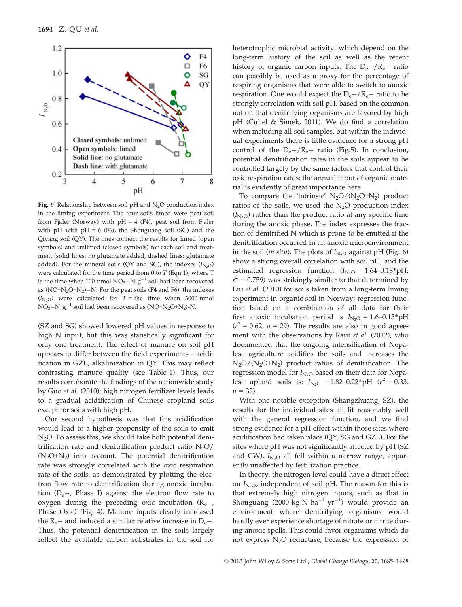

Fig. 9 Relationship between soil pH and  $N_2O$  production index in the liming experiment. The four soils limed were peat soil from Fjaler (Norway) with  $pH = 4$  (F4), peat soil from Fjaler with pH with  $pH = 6$  (F6), the Shouguang soil (SG) and the Qiyang soil (QY). The lines connect the results for limed (open symbols) and unlimed (closed symbols) for each soil and treatment (solid lines: no glutamate added, dashed lines: glutamate added). For the mineral soils (QY and SG), the indexes  $(I_{N_2O})$ were calculated for the time period from 0 to  $T$  (Eqn 1), where  $T$ is the time when 100 nmol  $NO_3-N g^{-1}$  soil had been recovered as  $(NO+N<sub>2</sub>O+N<sub>2</sub>)-N$ . For the peat soils (F4 and F6), the indexes  $(I_{N<sub>2</sub>O})$  were calculated for  $T =$  the time when 3000 nmol  $NO<sub>3</sub>-N g<sup>-1</sup>$  soil had been recovered as  $(NO+N<sub>2</sub>O+N<sub>2</sub>)-N$ .

(SZ and SG) showed lowered pH values in response to high N input, but this was statistically significant for only one treatment. The effect of manure on soil pH appears to differ between the field experiments – acidification in GZL, alkalinization in QY. This may reflect contrasting manure quality (see Table 1). Thus, our results corroborate the findings of the nationwide study by Guo et al. (2010): high nitrogen fertilizer levels leads to a gradual acidification of Chinese cropland soils except for soils with high pH.

Our second hypothesis was that this acidification would lead to a higher propensity of the soils to emit  $N_2O$ . To assess this, we should take both potential denitrification rate and denitrification product ratio  $N_2O/$  $(N_2O+N_2)$  into account. The potential denitrification rate was strongly correlated with the oxic respiration rate of the soils, as demonstrated by plotting the electron flow rate to denitrification during anoxic incubation  $(D_e-,$  Phase I) against the electron flow rate to oxygen during the preceding oxic incubation  $(R_e -$ Phase Oxic) (Fig. 4). Manure inputs clearly increased the  $R_e$ – and induced a similar relative increase in  $D_e$ –. Thus, the potential denitrification in the soils largely reflect the available carbon substrates in the soil for heterotrophic microbial activity, which depend on the long-term history of the soil as well as the recent history of organic carbon inputs. The  $D_e - / R_e$  ratio can possibly be used as a proxy for the percentage of respiring organisms that were able to switch to anoxic respiration. One would expect the  $D_e - / R_e$  ratio to be strongly correlation with soil pH, based on the common notion that denitrifying organisms are favored by high pH (Čuhel & Šimek, 2011). We do find a correlation when including all soil samples, but within the individual experiments there is little evidence for a strong pH control of the  $D_e - /R_e -$  ratio (Fig.5). In conclusion, potential denitrification rates in the soils appear to be controlled largely by the same factors that control their oxic respiration rates; the annual input of organic material is evidently of great importance here.

To compare the 'intrinsic'  $N_2O/(N_2O+N_2)$  product ratios of the soils, we used the  $N_2O$  production index  $(I<sub>N</sub>,<sub>O</sub>)$  rather than the product ratio at any specific time during the anoxic phase. The index expresses the fraction of denitrified N which is prone to be emitted if the denitrification occurred in an anoxic microenvironment in the soil (in situ). The plots of  $I_{N<sub>2</sub>}$  against pH (Fig. 6) show a strong overall correlation with soil pH, and the estimated regression function  $(I_{N<sub>2</sub>O} = 1.64-0.18*pH,$  $r^2$  = 0.759) was strikingly similar to that determined by Liu et al. (2010) for soils taken from a long-term liming experiment in organic soil in Norway; regression function based on a combination of all data for their first anoxic incubation period is  $I_{N_2O} = 1.6-0.15*pH$  $(r^2 = 0.62, n = 29)$ . The results are also in good agreement with the observations by Raut et al. (2012), who documented that the ongoing intensification of Nepalese agriculture acidifies the soils and increases the  $N_2O/(N_2O+N_2)$  product ratios of denitrification. The regression model for  $I_{\text{N}_2\text{O}}$  based on their data for Nepalese upland soils is:  $I_{\text{N}_2\text{O}} = 1.82 - 0.22 \cdot pH$  ( $r^2 = 0.33$ ,  $n = 32$ ).

With one notable exception (Shangzhuang, SZ), the results for the individual sites all fit reasonably well with the general regression function, and we find strong evidence for a pH effect within those sites where acidification had taken place (QY, SG and GZL). For the sites where pH was not significantly affected by pH (SZ and CW),  $I_{N<sub>2</sub>O}$  all fell within a narrow range, apparently unaffected by fertilization practice.

In theory, the nitrogen level could have a direct effect on  $I_{\rm N_2O}$ , independent of soil pH. The reason for this is that extremely high nitrogen inputs, such as that in Shouguang (2000 kg N ha $^{-1}$  yr $^{-1}$ ) would provide an environment where denitrifying organisms would hardly ever experience shortage of nitrate or nitrite during anoxic spells. This could favor organisms which do not express  $N_2O$  reductase, because the expression of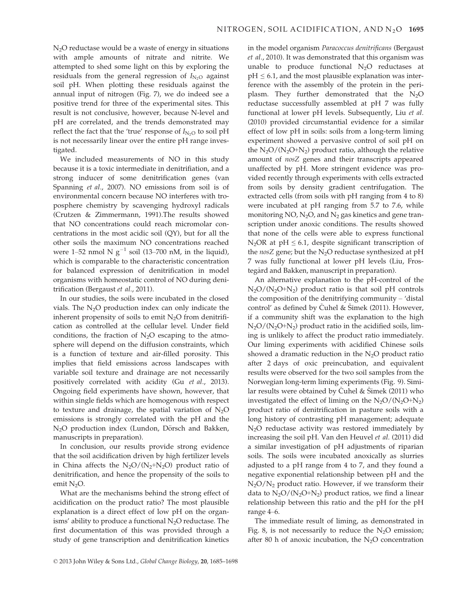N<sub>2</sub>O reductase would be a waste of energy in situations with ample amounts of nitrate and nitrite. We attempted to shed some light on this by exploring the residuals from the general regression of  $I_{N_2O}$  against soil pH. When plotting these residuals against the annual input of nitrogen (Fig. 7), we do indeed see a positive trend for three of the experimental sites. This result is not conclusive, however, because N-level and pH are correlated, and the trends demonstrated may reflect the fact that the 'true' response of  $I_{N<sub>2</sub>O}$  to soil pH is not necessarily linear over the entire pH range investigated.

We included measurements of NO in this study because it is a toxic intermediate in denitrifiation, and a strong inducer of some denitrification genes (van Spanning et al., 2007). NO emissions from soil is of environmental concern because NO interferes with troposphere chemistry by scavenging hydroxyl radicals (Crutzen & Zimmermann, 1991).The results showed that NO concentrations could reach micromolar concentrations in the most acidic soil (QY), but for all the other soils the maximum NO concentrations reached were 1–52 nmol N  $g^{-1}$  soil (13–700 nM, in the liquid), which is comparable to the characteristic concentration for balanced expression of denitrification in model organisms with homeostatic control of NO during denitrification (Bergaust et al., 2011).

In our studies, the soils were incubated in the closed vials. The  $N_2O$  production index can only indicate the inherent propensity of soils to emit  $N_2O$  from denitrification as controlled at the cellular level. Under field conditions, the fraction of  $N_2O$  escaping to the atmosphere will depend on the diffusion constraints, which is a function of texture and air-filled porosity. This implies that field emissions across landscapes with variable soil texture and drainage are not necessarily positively correlated with acidity (Gu et al., 2013). Ongoing field experiments have shown, however, that within single fields which are homogenous with respect to texture and drainage, the spatial variation of  $N_2O$ emissions is strongly correlated with the pH and the  $N_2O$  production index (Lundon, Dörsch and Bakken, manuscripts in preparation).

In conclusion, our results provide strong evidence that the soil acidification driven by high fertilizer levels in China affects the  $N_2O/(N_2+N_2O)$  product ratio of denitrification, and hence the propensity of the soils to emit N<sub>2</sub>O.

What are the mechanisms behind the strong effect of acidification on the product ratio? The most plausible explanation is a direct effect of low pH on the organisms' ability to produce a functional  $N_2O$  reductase. The first documentation of this was provided through a study of gene transcription and denitrification kinetics in the model organism Paracoccus denitrificans (Bergaust et al., 2010). It was demonstrated that this organism was unable to produce functional  $N_2O$  reductases at  $pH \leq 6.1$ , and the most plausible explanation was interference with the assembly of the protein in the periplasm. They further demonstrated that the N<sub>2</sub>O reductase successfully assembled at pH 7 was fully functional at lower pH levels. Subsequently, Liu et al. (2010) provided circumstantial evidence for a similar effect of low pH in soils: soils from a long-term liming experiment showed a pervasive control of soil pH on the  $N_2O/(N_2O+N_2)$  product ratio, although the relative amount of nosZ genes and their transcripts appeared unaffected by pH. More stringent evidence was provided recently through experiments with cells extracted from soils by density gradient centrifugation. The extracted cells (from soils with pH ranging from 4 to 8) were incubated at pH ranging from 5.7 to 7.6, while monitoring NO,  $N_2O$ , and  $N_2$  gas kinetics and gene transcription under anoxic conditions. The results showed that none of the cells were able to express functional N<sub>2</sub>OR at pH  $\leq$  6.1, despite significant transcription of the nosZ gene; but the  $N_2O$  reductase synthesized at pH 7 was fully functional at lower pH levels (Liu, Frostegard and Bakken, manuscript in preparation).

An alternative explanation to the pH-control of the  $N_2O/(N_2O+N_2)$  product ratio is that soil pH controls the composition of the denitrifying community – 'distal control' as defined by Čuhel & Šimek (2011). However, if a community shift was the explanation to the high  $N_2O/(N_2O+N_2)$  product ratio in the acidified soils, liming is unlikely to affect the product ratio immediately. Our liming experiments with acidified Chinese soils showed a dramatic reduction in the  $N_2O$  product ratio after 2 days of oxic preincubation, and equivalent results were observed for the two soil samples from the Norwegian long-term liming experiments (Fig. 9). Similar results were obtained by Čuhel & Šimek (2011) who investigated the effect of liming on the  $N_2O/(N_2O+N_2)$ product ratio of denitrification in pasture soils with a long history of contrasting pH management; adequate  $N<sub>2</sub>O$  reductase activity was restored immediately by increasing the soil pH. Van den Heuvel et al. (2011) did a similar investigation of pH adjustments of riparian soils. The soils were incubated anoxically as slurries adjusted to a pH range from 4 to 7, and they found a negative exponential relationship between pH and the  $N_2O/N_2$  product ratio. However, if we transform their data to  $N_2O/(N_2O+N_2)$  product ratios, we find a linear relationship between this ratio and the pH for the pH range 4–6.

The immediate result of liming, as demonstrated in Fig. 8, is not necessarily to reduce the  $N_2O$  emission; after 80 h of anoxic incubation, the  $N_2O$  concentration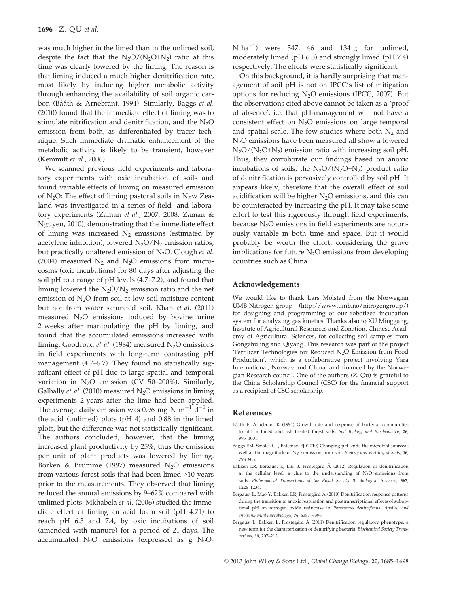was much higher in the limed than in the unlimed soil, despite the fact that the  $N_2O/(N_2O+N_2)$  ratio at this time was clearly lowered by the liming. The reason is that liming induced a much higher denitrification rate, most likely by inducing higher metabolic activity through enhancing the availability of soil organic carbon (Bååth & Arnebrant, 1994). Similarly, Baggs et al. (2010) found that the immediate effect of liming was to stimulate nitrification and denitrification, and the  $N_2O$ emission from both, as differentiated by tracer technique. Such immediate dramatic enhancement of the metabolic activity is likely to be transient, however (Kemmitt et al., 2006).

We scanned previous field experiments and laboratory experiments with oxic incubation of soils and found variable effects of liming on measured emission of  $N_2O$ : The effect of liming pastoral soils in New Zealand was investigated in a series of field- and laboratory experiments (Zaman et al., 2007, 2008; Zaman & Nguyen, 2010), demonstrating that the immediate effect of liming was increased  $N_2$  emissions (estimated by acetylene inhibition), lowered  $N_2O/N_2$  emission ratios, but practically unaltered emission of  $N_2O$ . Clough et al. (2004) measured  $N_2$  and  $N_2O$  emissions from microcosms (oxic incubations) for 80 days after adjusting the soil pH to a range of pH levels (4.7–7.2), and found that liming lowered the  $N_2O/N_2$  emission ratio and the net emission of  $N<sub>2</sub>O$  from soil at low soil moisture content but not from water saturated soil. Khan et al. (2011) measured  $N_2O$  emissions induced by bovine urine 2 weeks after manipulating the pH by liming, and found that the accumulated emissions increased with liming. Goodroad et al. (1984) measured  $N_2O$  emissions in field experiments with long-term contrasting pH management (4.7–6.7). They found no statistically significant effect of pH due to large spatial and temporal variation in  $N_2O$  emission (CV 50–200%). Similarly, Galbally *et al.* (2010) measured  $N_2O$  emissions in liming experiments 2 years after the lime had been applied. The average daily emission was 0.96 mg N  $\mathrm{m}^{-1}$  d<sup>-1</sup> in the acid (unlimed) plots (pH 4) and 0.88 in the limed plots, but the difference was not statistically significant. The authors concluded, however, that the liming increased plant productivity by 25%, thus the emission per unit of plant products was lowered by liming. Borken & Brumme (1997) measured  $N_2O$  emissions from various forest soils that had been limed >10 years prior to the measurements. They observed that liming reduced the annual emissions by 9–62% compared with unlimed plots. Mkhabela et al. (2006) studied the immediate effect of liming an acid loam soil (pH 4.71) to reach pH 6.3 and 7.4, by oxic incubations of soil (amended with manure) for a period of 21 days. The accumulated  $N_2O$  emissions (expressed as g  $N_2O$ -

N ha<sup>-1</sup>) were 547, 46 and 134 g for unlimed, moderately limed (pH 6.3) and strongly limed (pH 7.4) respectively. The effects were statistically significant.

On this background, it is hardly surprising that management of soil pH is not on IPCC's list of mitigation options for reducing  $N_2O$  emissions (IPCC, 2007). But the observations cited above cannot be taken as a 'proof of absence', i.e. that pH-management will not have a consistent effect on  $N_2O$  emissions on large temporal and spatial scale. The few studies where both  $N_2$  and N2O emissions have been measured all show a lowered  $N_2O/(N_2O+N_2)$  emission ratio with increasing soil pH. Thus, they corroborate our findings based on anoxic incubations of soils; the  $N_2O/(N_2O+N_2)$  product ratio of denitrification is pervasively controlled by soil pH. It appears likely, therefore that the overall effect of soil acidification will be higher  $N_2O$  emissions, and this can be counteracted by increasing the pH. It may take some effort to test this rigorously through field experiments, because  $N_2O$  emissions in field experiments are notoriously variable in both time and space. But it would probably be worth the effort, considering the grave implications for future  $N_2O$  emissions from developing countries such as China.

#### Acknowledgements

We would like to thank Lars Molstad from the Norwegian UMB-Nitrogen-group (http://www.umb.no/nitrogengroup/) for designing and programming of our robotized incubation system for analyzing gas kinetics. Thanks also to XU Minggang, Institute of Agricultural Resources and Zonation, Chinese Academy of Agricultural Sciences, for collecting soil samples from Gongzhuling and Qiyang. This research was part of the project 'Fertilizer Technologies for Reduced  $N_2O$  Emission from Food Production', which is a collaborative project involving Yara International, Norway and China, and financed by the Norwegian Research council. One of the authors (Z. Qu) is grateful to the China Scholarship Council (CSC) for the financial support as a recipient of CSC scholarship.

### References

- Bååth E, Arnebrant K (1994) Growth rate and response of bacterial communities to pH in limed and ash treated forest soils. Soil Biology and Biochemistry, 26, 995–1001.
- Baggs EM, Smales CL, Bateman EJ (2010) Changing pH shifts the microbial sourceas well as the magnitude of N<sub>2</sub>O emission from soil. Biology and Fertility of Soils, 46, 793–805.
- Bakken LR, Bergaust L, Liu B, Frostegård Å (2012) Regulation of denitrification at the cellular level: a clue to the understanding of  $N_2O$  emissions from soils. Philosophical Transactions of the Royal Society B: Biological Sciences, 367, 1226–1234.
- Bergaust L, Mao Y, Bakken LR, Frostegård Å (2010) Denitrification response patterns during the transition to anoxic respiration and posttranscriptional effects of suboptimal pH on nitrogen oxide reductase in Paracoccus denitrificans. Applied and environmental microbiology, 76, 6387–6396.
- Bergaust L, Bakken L, Frostegård Å (2011) Denitrification regulatory phenotype, a new term for the characterization of denitrifying bacteria. Biochemical Society Transactions, 39, 207–212.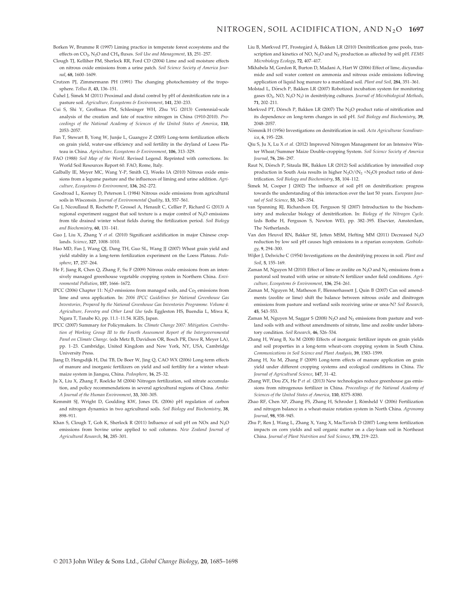Borken W, Brumme R (1997) Liming practice in temperate forest ecosystems and the effects on CO<sub>2</sub>, N<sub>2</sub>O and CH<sub>4</sub> fluxes. Soil Use and Management, 13, 251-257.

- Clough TJ, Kelliher FM, Sherlock RR, Ford CD (2004) Lime and soil moisture effects on nitrous oxide emissions from a urine patch. Soil Science Society of America Journal, 68, 1600–1609.
- Crutzen PJ, Zimmermann PH (1991) The changing photochemistry of the troposphere. Tellus B, 43, 136–151.
- Čuhel J, Šimek M (2011) Proximal and distal control by pH of denitrification rate in a pasture soil. Agriculture, Ecosystems & Environment, 141, 230–233.
- Cui S, Shi Y, Groffman PM, Schlesinger WH, Zhu YG (2013) Centennial-scale analysis of the creation and fate of reactive nitrogen in China (1910-2010). Proceedings of the National Academy of Sciences of the United States of America, 110, 2053–2057.
- Fan T, Stewart B, Yong W, Junjie L, Guangye Z (2005) Long-term fertilization effects on grain yield, water-use efficiency and soil fertility in the dryland of Loess Plateau in China. Agriculture, Ecosystems & Environment, 106, 313-329.
- FAO (1988) Soil Map of the World. Revised Legend. Reprinted with corrections. In: World Soil Resources Report 60. FAO, Rome, Italy.
- Galbally IE, Meyer MC, Wang Y-P, Smith CJ, Weeks IA (2010) Nitrous oxide emissions from a legume pasture and the influences of liming and urine addition. Agriculture, Ecosystems & Environment, 136, 262–272.
- Goodroad L, Keeney D, Peterson L (1984) Nitrous oxide emissions from agricultural soils in Wisconsin. Journal of Environmental Quality, 13, 557–561.
- Gu J, Nicoullaud B, Rochette P, Grossel A, Henault C, Cellier P, Richard G (2013) A regional experiment suggest that soil texture is a major control of  $N_2O$  emissions from tile drained winter wheat fields during the firtilization period. Soil Biology and Biochemistry, 60, 131–141.
- Guo J, Liu X, Zhang Y et al. (2010) Significant acidification in major Chinese croplands. Science, 327, 1008–1010.
- Hao MD, Fan J, Wang QJ, Dang TH, Guo SL, Wang JJ (2007) Wheat grain yield and yield stability in a long-term fertilization experiment on the Loess Plateau. Pedosphere, 17, 257–264.
- He F, Jiang R, Chen Q, Zhang F, Su F (2009) Nitrous oxide emissions from an intensively managed greenhouse vegetable cropping system in Northern China. Environmental Pollution, 157, 1666–1672.
- IPCC (2006) Chapter 11: N<sub>2</sub>O emissions from managed soils, and  $Co<sub>2</sub>$  emissions from lime and urea application. In: 2006 IPCC Guidelines for National Greenhouse Gas Inventories, Prepared by the National Greenhouse Gas Inventories Programme. Volume 4: Agriculture, Forestry and Other Land Use (eds Eggleston HS, Buendia L, Miwa K, Ngara T, Tanabe K), pp. 11.1–11.54. IGES, Japan.
- IPCC (2007) Summary for Policymakers. In: Climate Change 2007: Mitigation. Contribution of Working Group III to the Fourth Assessment Report of the Intergovernmental Panel on Climate Change. (eds Metz B, Davidson OR, Bosch PR, Dave R, Meyer LA), pp. 1–23. Cambridge, United Kingdom and New York, NY, USA, Cambridge University Press.
- Jiang D, Hengsdijk H, Dai TB, De Boer W, Jing Q, CAO WX (2006) Long-term effects of manure and inorganic fertilizers on yield and soil fertility for a winter wheatmaize system in Jiangsu, China. Pedosphere, 16, 25–32.
- Ju X, Liu X, Zhang F, Roelcke M (2004) Nitrogen fertilization, soil nitrate accumulation, and policy recommendations in several agricultural regions of China. Ambio: A Journal of the Human Environment, 33, 300–305.
- Kemmitt SJ, Wright D, Goulding KW, Jones DL (2006) pH regulation of carbon and nitrogen dynamics in two agricultural soils. Soil Biology and Biochemistry, 38, 898–911.
- Khan S, Clough T, Goh K, Sherlock R (2011) Influence of soil pH on NOx and N<sub>2</sub>O emissions from bovine urine applied to soil columns. New Zealand Journal of Agricultural Research, 54, 285–301.
- Liu B, Mørkved PT, Frostegård Å, Bakken LR (2010) Denitrification gene pools, transcription and kinetics of NO,  $\mathrm{N}_2\mathrm{O}$  and  $\mathrm{N}_2$  production as affected by soil pH. FEMS Microbiology Ecology, 72, 407–417.
- Mkhabela M, Gordon R, Burton D, Madani A, Hart W (2006) Effect of lime, dicyandiamide and soil water content on ammonia and nitrous oxide emissions following application of liquid hog manure to a marshland soil. Plant and Soil, 284, 351–361.
- Molstad L, Dörsch P, Bakken LR (2007) Robotized incubation system for monitoring  $gases$  ( $O<sub>2</sub> NO<sub>2</sub> NO<sub>2</sub>$ ) in denitrifying cultures. Journal of Microbiological Methods, 71, 202–211.
- Mørkved PT, Dörsch P, Bakken LR (2007) The N<sub>2</sub>O product ratio of nitrification and its dependence on long-term changes in soil pH. Soil Biology and Biochemistry, 39, 2048–2057.
- Nömmik H (1956) Investigations on denitrification in soil. Acta Agriculturae Scandinavica, 6, 195–228.
- Qiu S, Ju X, Lu X et al. (2012) Improved Nitrogen Management for an Intensive Winter Wheat/Summer Maize Double-cropping System. Soil Science Society of America Journal, 76, 286–297.
- Raut N, Dörsch P, Sitaula BK, Bakken LR (2012) Soil acidification by intensified crop production in South Asia results in higher  $N_2O/(N_2 + N_2O)$  product ratio of denitrification. Soil Biology and Biochemistry, 55, 104–112.
- Simek M, Cooper J (2002) The influence of soil pH on denitrification: progress towards the understanding of this interaction over the last 50 years. European Journal of Soil Science, 53, 345–354.
- van Spanning RJ, Richardson DJ, Ferguson SJ (2007) Introduction to the biochemistry and molecular biology of denitrification. In: Biology of the Nitrogen Cycle. (eds Bothe H, Ferguson S, Newton WE), pp. 382–395. Elsevier, Amsterdam, The Netherlands.
- Van den Heuvel RN, Bakker SE, Jetten MSM, Hefting MM (2011) Decreased N2O reduction by low soil pH causes high emissions in a riparian ecosystem. Geobiology, 9, 294–300.
- Wijler J, Delwiche C (1954) Investigations on the denitrifying process in soil. Plant and Soil, 5, 155-169.
- Zaman M, Nguyen M (2010) Effect of lime or zeolite on  $N_2O$  and  $N_2$  emissions from a pastoral soil treated with urine or nitrate-N fertilizer under field conditions. Agriculture, Ecosystems & Environment, 136, 254–261.
- Zaman M, Nguyen M, Matheson F, Blennerhassett J, Quin B (2007) Can soil amendments (zeolite or lime) shift the balance between nitrous oxide and dinitrogen emissions from pasture and wetland soils receiving urine or urea-N? Soil Research, 45, 543–553.
- Zaman M, Nguyen M, Saggar S (2008) N<sub>2</sub>O and N<sub>2</sub> emissions from pasture and wetland soils with and without amendments of nitrate, lime and zeolite under laboratory condition. Soil Research, 46, 526–534.
- Zhang H, Wang B, Xu M (2008) Effects of inorganic fertilizer inputs on grain yields and soil properties in a long-term wheat-corn cropping system in South China. Communications in Soil Science and Plant Analysis, 39, 1583–1599.
- Zhang H, Xu M, Zhang F (2009) Long-term effects of manure application on grain yield under different cropping systems and ecological conditions in China. The Journal of Agricultural Science, 147, 31–42.
- Zhang WF, Dou ZX, He P et al. (2013) New technologies reduce greenhouse gas emissions from nitrogenous fertilizer in China. Proceedings of the National Academy of Sciences of the United States of America, 110, 8375–8380.
- Zhao RF, Chen XP, Zhang FS, Zhang H, Schroder J, Römheld V (2006) Fertilization and nitrogen balance in a wheat-maize rotation system in North China. Agronomy Journal, 98, 938–945.
- Zhu P, Ren J, Wang L, Zhang X, Yang X, MacTavish D (2007) Long-term fertilization impacts on corn yields and soil organic matter on a clay-loam soil in Northeast China. Journal of Plant Nutrition and Soil Science, 170, 219–223.